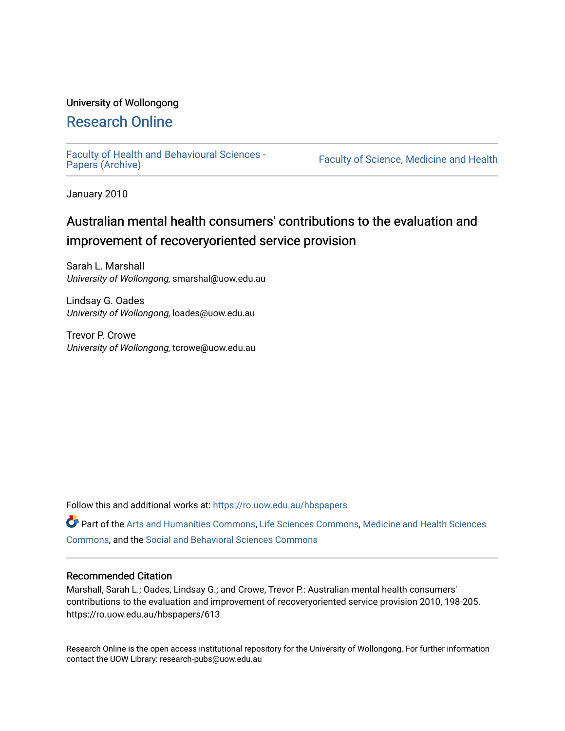### University of Wollongong

# [Research Online](https://ro.uow.edu.au/)

[Faculty of Health and Behavioural Sciences -](https://ro.uow.edu.au/hbspapers)<br>Papers (Archive)

Faculty of Science, Medicine and Health

January 2010

# Australian mental health consumers' contributions to the evaluation and improvement of recoveryoriented service provision

Sarah L. Marshall University of Wollongong, smarshal@uow.edu.au

Lindsay G. Oades University of Wollongong, loades@uow.edu.au

Trevor P. Crowe University of Wollongong, tcrowe@uow.edu.au

Follow this and additional works at: [https://ro.uow.edu.au/hbspapers](https://ro.uow.edu.au/hbspapers?utm_source=ro.uow.edu.au%2Fhbspapers%2F613&utm_medium=PDF&utm_campaign=PDFCoverPages) 

Part of the [Arts and Humanities Commons,](http://network.bepress.com/hgg/discipline/438?utm_source=ro.uow.edu.au%2Fhbspapers%2F613&utm_medium=PDF&utm_campaign=PDFCoverPages) [Life Sciences Commons,](http://network.bepress.com/hgg/discipline/1016?utm_source=ro.uow.edu.au%2Fhbspapers%2F613&utm_medium=PDF&utm_campaign=PDFCoverPages) [Medicine and Health Sciences](http://network.bepress.com/hgg/discipline/648?utm_source=ro.uow.edu.au%2Fhbspapers%2F613&utm_medium=PDF&utm_campaign=PDFCoverPages) [Commons](http://network.bepress.com/hgg/discipline/648?utm_source=ro.uow.edu.au%2Fhbspapers%2F613&utm_medium=PDF&utm_campaign=PDFCoverPages), and the [Social and Behavioral Sciences Commons](http://network.bepress.com/hgg/discipline/316?utm_source=ro.uow.edu.au%2Fhbspapers%2F613&utm_medium=PDF&utm_campaign=PDFCoverPages)

#### Recommended Citation

Marshall, Sarah L.; Oades, Lindsay G.; and Crowe, Trevor P.: Australian mental health consumers' contributions to the evaluation and improvement of recoveryoriented service provision 2010, 198-205. https://ro.uow.edu.au/hbspapers/613

Research Online is the open access institutional repository for the University of Wollongong. For further information contact the UOW Library: research-pubs@uow.edu.au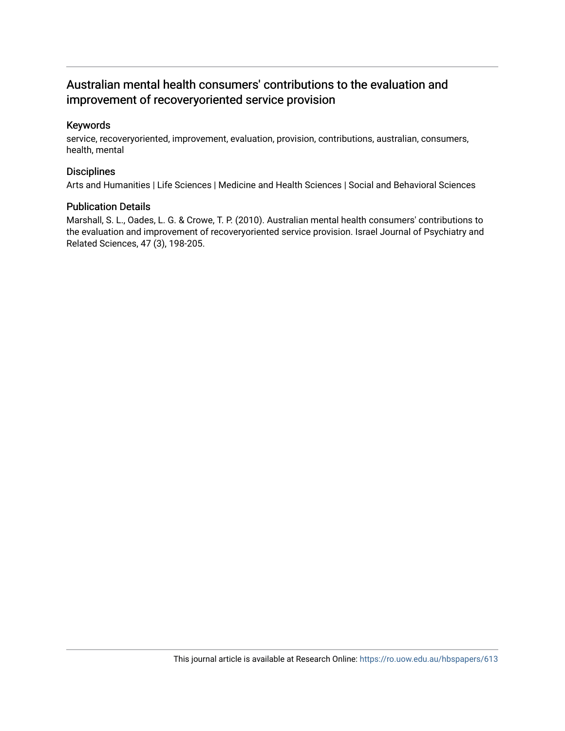## Australian mental health consumers' contributions to the evaluation and improvement of recoveryoriented service provision

#### Keywords

service, recoveryoriented, improvement, evaluation, provision, contributions, australian, consumers, health, mental

#### **Disciplines**

Arts and Humanities | Life Sciences | Medicine and Health Sciences | Social and Behavioral Sciences

#### Publication Details

Marshall, S. L., Oades, L. G. & Crowe, T. P. (2010). Australian mental health consumers' contributions to the evaluation and improvement of recoveryoriented service provision. Israel Journal of Psychiatry and Related Sciences, 47 (3), 198-205.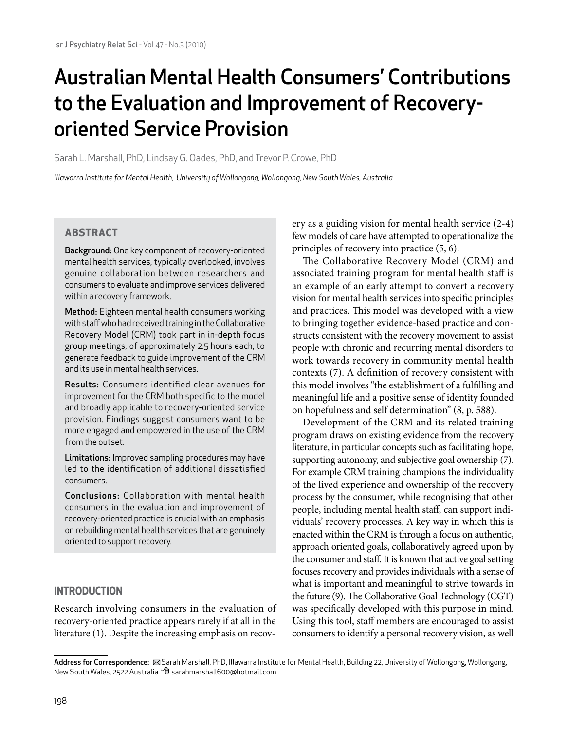# Australian Mental Health Consumers' Contributions to the Evaluation and Improvement of Recoveryoriented Service Provision

Sarah L. Marshall, PhD, Lindsay G. Oades, PhD, and Trevor P. Crowe, PhD

*Illawarra Institute for Mental Health, University of Wollongong, Wollongong, New South Wales, Australia*

#### **ABSTRACT**

Background: One key component of recovery-oriented mental health services, typically overlooked, involves genuine collaboration between researchers and consumers to evaluate and improve services delivered within a recovery framework.

Method: Eighteen mental health consumers working with staff who had received training in the Collaborative Recovery Model (CRM) took part in in-depth focus group meetings, of approximately 2.5 hours each, to generate feedback to guide improvement of the CRM and its use in mental health services.

Results: Consumers identified clear avenues for improvement for the CRM both specific to the model and broadly applicable to recovery-oriented service provision. Findings suggest consumers want to be more engaged and empowered in the use of the CRM from the outset.

Limitations: Improved sampling procedures may have led to the identification of additional dissatisfied consumers.

Conclusions: Collaboration with mental health consumers in the evaluation and improvement of recovery-oriented practice is crucial with an emphasis on rebuilding mental health services that are genuinely oriented to support recovery.

#### **Introduction**

Research involving consumers in the evaluation of recovery-oriented practice appears rarely if at all in the literature (1). Despite the increasing emphasis on recovery as a guiding vision for mental health service (2-4) few models of care have attempted to operationalize the principles of recovery into practice (5, 6).

The Collaborative Recovery Model (CRM) and associated training program for mental health staff is an example of an early attempt to convert a recovery vision for mental health services into specific principles and practices. This model was developed with a view to bringing together evidence-based practice and constructs consistent with the recovery movement to assist people with chronic and recurring mental disorders to work towards recovery in community mental health contexts (7). A definition of recovery consistent with this model involves "the establishment of a fulfilling and meaningful life and a positive sense of identity founded on hopefulness and self determination" (8, p. 588).

Development of the CRM and its related training program draws on existing evidence from the recovery literature, in particular concepts such as facilitating hope, supporting autonomy, and subjective goal ownership (7). For example CRM training champions the individuality of the lived experience and ownership of the recovery process by the consumer, while recognising that other people, including mental health staff, can support individuals' recovery processes. A key way in which this is enacted within the CRM is through a focus on authentic, approach oriented goals, collaboratively agreed upon by the consumer and staff. It is known that active goal setting focuses recovery and provides individuals with a sense of what is important and meaningful to strive towards in the future (9). The Collaborative Goal Technology (CGT) was specifically developed with this purpose in mind. Using this tool, staff members are encouraged to assist consumers to identify a personal recovery vision, as well

Address for Correspondence:  $\boxtimes$  Sarah Marshall, PhD, Illawarra Institute for Mental Health, Building 22, University of Wollongong, Wollongong, New South Wales, 2522 Australia *→* 3 sarahmarshall600@hotmail.com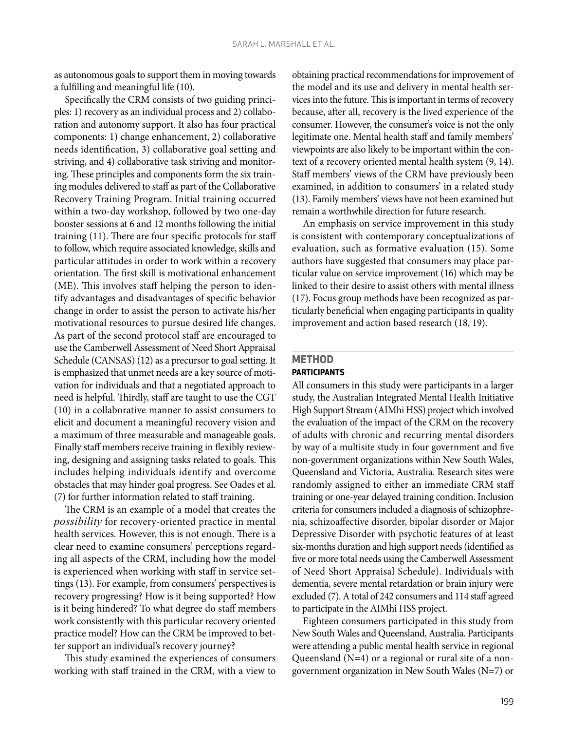as autonomous goals to support them in moving towards a fulfilling and meaningful life (10).

Specifically the CRM consists of two guiding principles: 1) recovery as an individual process and 2) collaboration and autonomy support. It also has four practical components: 1) change enhancement, 2) collaborative needs identification, 3) collaborative goal setting and striving, and 4) collaborative task striving and monitoring. These principles and components form the six training modules delivered to staff as part of the Collaborative Recovery Training Program. Initial training occurred within a two-day workshop, followed by two one-day booster sessions at 6 and 12 months following the initial training (11). There are four specific protocols for staff to follow, which require associated knowledge, skills and particular attitudes in order to work within a recovery orientation. The first skill is motivational enhancement (ME). This involves staff helping the person to identify advantages and disadvantages of specific behavior change in order to assist the person to activate his/her motivational resources to pursue desired life changes. As part of the second protocol staff are encouraged to use the Camberwell Assessment of Need Short Appraisal Schedule (CANSAS) (12) as a precursor to goal setting. It is emphasized that unmet needs are a key source of motivation for individuals and that a negotiated approach to need is helpful. Thirdly, staff are taught to use the CGT (10) in a collaborative manner to assist consumers to elicit and document a meaningful recovery vision and a maximum of three measurable and manageable goals. Finally staff members receive training in flexibly reviewing, designing and assigning tasks related to goals. This includes helping individuals identify and overcome obstacles that may hinder goal progress. See Oades et al. (7) for further information related to staff training.

The CRM is an example of a model that creates the *possibility* for recovery-oriented practice in mental health services. However, this is not enough. There is a clear need to examine consumers' perceptions regarding all aspects of the CRM, including how the model is experienced when working with staff in service settings (13). For example, from consumers' perspectives is recovery progressing? How is it being supported? How is it being hindered? To what degree do staff members work consistently with this particular recovery oriented practice model? How can the CRM be improved to better support an individual's recovery journey?

This study examined the experiences of consumers working with staff trained in the CRM, with a view to

obtaining practical recommendations for improvement of the model and its use and delivery in mental health services into the future. This is important in terms of recovery because, after all, recovery is the lived experience of the consumer. However, the consumer's voice is not the only legitimate one. Mental health staff and family members' viewpoints are also likely to be important within the context of a recovery oriented mental health system (9, 14). Staff members' views of the CRM have previously been examined, in addition to consumers' in a related study (13). Family members' views have not been examined but remain a worthwhile direction for future research.

An emphasis on service improvement in this study is consistent with contemporary conceptualizations of evaluation, such as formative evaluation (15). Some authors have suggested that consumers may place particular value on service improvement (16) which may be linked to their desire to assist others with mental illness (17). Focus group methods have been recognized as particularly beneficial when engaging participants in quality improvement and action based research (18, 19).

#### **Method Participants**

All consumers in this study were participants in a larger study, the Australian Integrated Mental Health Initiative High Support Stream (AIMhi HSS) project which involved the evaluation of the impact of the CRM on the recovery of adults with chronic and recurring mental disorders by way of a multisite study in four government and five non-government organizations within New South Wales, Queensland and Victoria, Australia. Research sites were randomly assigned to either an immediate CRM staff training or one-year delayed training condition. Inclusion criteria for consumers included a diagnosis of schizophrenia, schizoaffective disorder, bipolar disorder or Major Depressive Disorder with psychotic features of at least six-months duration and high support needs (identified as five or more total needs using the Camberwell Assessment of Need Short Appraisal Schedule). Individuals with dementia, severe mental retardation or brain injury were excluded (7). A total of 242 consumers and 114 staff agreed to participate in the AIMhi HSS project.

Eighteen consumers participated in this study from New South Wales and Queensland, Australia. Participants were attending a public mental health service in regional Queensland (N=4) or a regional or rural site of a nongovernment organization in New South Wales (N=7) or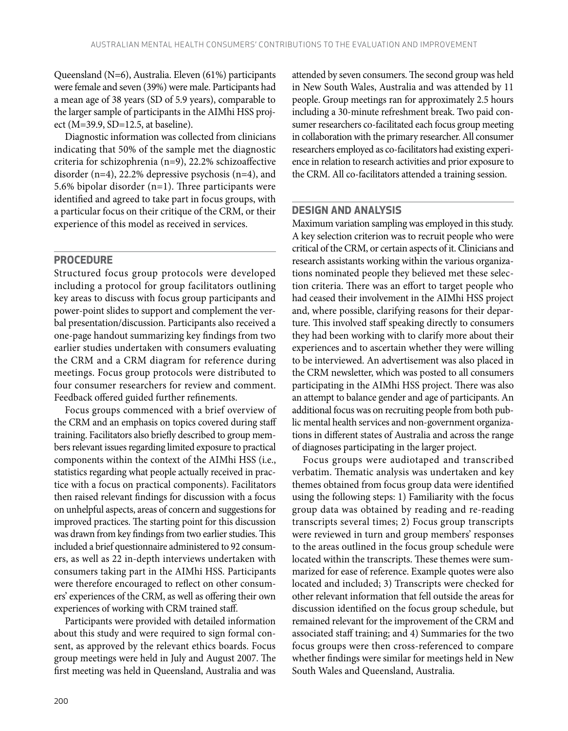Queensland (N=6), Australia. Eleven (61%) participants were female and seven (39%) were male. Participants had a mean age of 38 years (SD of 5.9 years), comparable to the larger sample of participants in the AIMhi HSS project (M=39.9, SD=12.5, at baseline).

Diagnostic information was collected from clinicians indicating that 50% of the sample met the diagnostic criteria for schizophrenia (n=9), 22.2% schizoaffective disorder (n=4), 22.2% depressive psychosis (n=4), and 5.6% bipolar disorder (n=1). Three participants were identified and agreed to take part in focus groups, with a particular focus on their critique of the CRM, or their experience of this model as received in services.

#### **Procedure**

Structured focus group protocols were developed including a protocol for group facilitators outlining key areas to discuss with focus group participants and power-point slides to support and complement the verbal presentation/discussion. Participants also received a one-page handout summarizing key findings from two earlier studies undertaken with consumers evaluating the CRM and a CRM diagram for reference during meetings. Focus group protocols were distributed to four consumer researchers for review and comment. Feedback offered guided further refinements.

Focus groups commenced with a brief overview of the CRM and an emphasis on topics covered during staff training. Facilitators also briefly described to group members relevant issues regarding limited exposure to practical components within the context of the AIMhi HSS (i.e., statistics regarding what people actually received in practice with a focus on practical components). Facilitators then raised relevant findings for discussion with a focus on unhelpful aspects, areas of concern and suggestions for improved practices. The starting point for this discussion was drawn from key findings from two earlier studies. This included a brief questionnaire administered to 92 consumers, as well as 22 in-depth interviews undertaken with consumers taking part in the AIMhi HSS. Participants were therefore encouraged to reflect on other consumers' experiences of the CRM, as well as offering their own experiences of working with CRM trained staff.

Participants were provided with detailed information about this study and were required to sign formal consent, as approved by the relevant ethics boards. Focus group meetings were held in July and August 2007. The first meeting was held in Queensland, Australia and was

attended by seven consumers. The second group was held in New South Wales, Australia and was attended by 11 people. Group meetings ran for approximately 2.5 hours including a 30-minute refreshment break. Two paid consumer researchers co-facilitated each focus group meeting in collaboration with the primary researcher. All consumer researchers employed as co-facilitators had existing experience in relation to research activities and prior exposure to the CRM. All co-facilitators attended a training session.

#### **Design and Analysis**

Maximum variation sampling was employed in this study. A key selection criterion was to recruit people who were critical of the CRM, or certain aspects of it. Clinicians and research assistants working within the various organizations nominated people they believed met these selection criteria. There was an effort to target people who had ceased their involvement in the AIMhi HSS project and, where possible, clarifying reasons for their departure. This involved staff speaking directly to consumers they had been working with to clarify more about their experiences and to ascertain whether they were willing to be interviewed. An advertisement was also placed in the CRM newsletter, which was posted to all consumers participating in the AIMhi HSS project. There was also an attempt to balance gender and age of participants. An additional focus was on recruiting people from both public mental health services and non-government organizations in different states of Australia and across the range of diagnoses participating in the larger project.

Focus groups were audiotaped and transcribed verbatim. Thematic analysis was undertaken and key themes obtained from focus group data were identified using the following steps: 1) Familiarity with the focus group data was obtained by reading and re-reading transcripts several times; 2) Focus group transcripts were reviewed in turn and group members' responses to the areas outlined in the focus group schedule were located within the transcripts. These themes were summarized for ease of reference. Example quotes were also located and included; 3) Transcripts were checked for other relevant information that fell outside the areas for discussion identified on the focus group schedule, but remained relevant for the improvement of the CRM and associated staff training; and 4) Summaries for the two focus groups were then cross-referenced to compare whether findings were similar for meetings held in New South Wales and Queensland, Australia.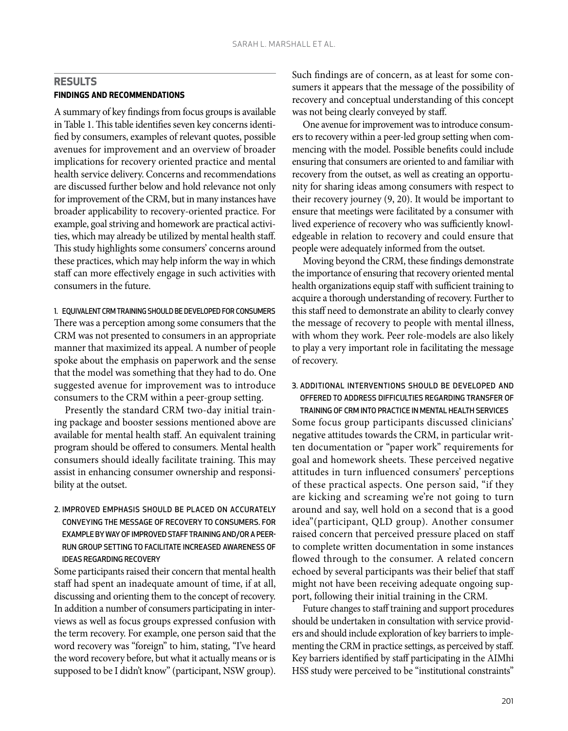#### **Results Findings and recommendations**

A summary of key findings from focus groups is available in Table 1. This table identifies seven key concerns identified by consumers, examples of relevant quotes, possible avenues for improvement and an overview of broader implications for recovery oriented practice and mental health service delivery. Concerns and recommendations are discussed further below and hold relevance not only for improvement of the CRM, but in many instances have broader applicability to recovery-oriented practice. For example, goal striving and homework are practical activities, which may already be utilized by mental health staff. This study highlights some consumers' concerns around these practices, which may help inform the way in which staff can more effectively engage in such activities with consumers in the future.

1. EQUIVALENT CRM TRAINING SHOULD BE DEVELOPED FOR CONSUMERS There was a perception among some consumers that the CRM was not presented to consumers in an appropriate manner that maximized its appeal. A number of people spoke about the emphasis on paperwork and the sense that the model was something that they had to do. One suggested avenue for improvement was to introduce consumers to the CRM within a peer-group setting.

Presently the standard CRM two-day initial training package and booster sessions mentioned above are available for mental health staff. An equivalent training program should be offered to consumers. Mental health consumers should ideally facilitate training. This may assist in enhancing consumer ownership and responsibility at the outset.

2. Improved emphasis should be placed on accurately conveying the message of recovery to consumers. For example by wayof improved stafftraining and/or a peerrun group setting to facilitate increased awareness of ideas regarding recovery

Some participants raised their concern that mental health staff had spent an inadequate amount of time, if at all, discussing and orienting them to the concept of recovery. In addition a number of consumers participating in interviews as well as focus groups expressed confusion with the term recovery. For example, one person said that the word recovery was "foreign" to him, stating, "I've heard the word recovery before, but what it actually means or is supposed to be I didn't know" (participant, NSW group). Such findings are of concern, as at least for some consumers it appears that the message of the possibility of recovery and conceptual understanding of this concept was not being clearly conveyed by staff.

One avenue for improvement was to introduce consumers to recovery within a peer-led group setting when commencing with the model. Possible benefits could include ensuring that consumers are oriented to and familiar with recovery from the outset, as well as creating an opportunity for sharing ideas among consumers with respect to their recovery journey (9, 20). It would be important to ensure that meetings were facilitated by a consumer with lived experience of recovery who was sufficiently knowledgeable in relation to recovery and could ensure that people were adequately informed from the outset.

Moving beyond the CRM, these findings demonstrate the importance of ensuring that recovery oriented mental health organizations equip staff with sufficient training to acquire a thorough understanding of recovery. Further to this staff need to demonstrate an ability to clearly convey the message of recovery to people with mental illness, with whom they work. Peer role-models are also likely to play a very important role in facilitating the message of recovery.

#### 3. Additional interventions should be developed and offered to address difficulties regarding transfer of training of CRM into practice in mental health services

Some focus group participants discussed clinicians' negative attitudes towards the CRM, in particular written documentation or "paper work" requirements for goal and homework sheets. These perceived negative attitudes in turn influenced consumers' perceptions of these practical aspects. One person said, "if they are kicking and screaming we're not going to turn around and say, well hold on a second that is a good idea"(participant, QLD group). Another consumer raised concern that perceived pressure placed on staff to complete written documentation in some instances flowed through to the consumer. A related concern echoed by several participants was their belief that staff might not have been receiving adequate ongoing support, following their initial training in the CRM.

Future changes to staff training and support procedures should be undertaken in consultation with service providers and should include exploration of key barriers to implementing the CRM in practice settings, as perceived by staff. Key barriers identified by staff participating in the AIMhi HSS study were perceived to be "institutional constraints"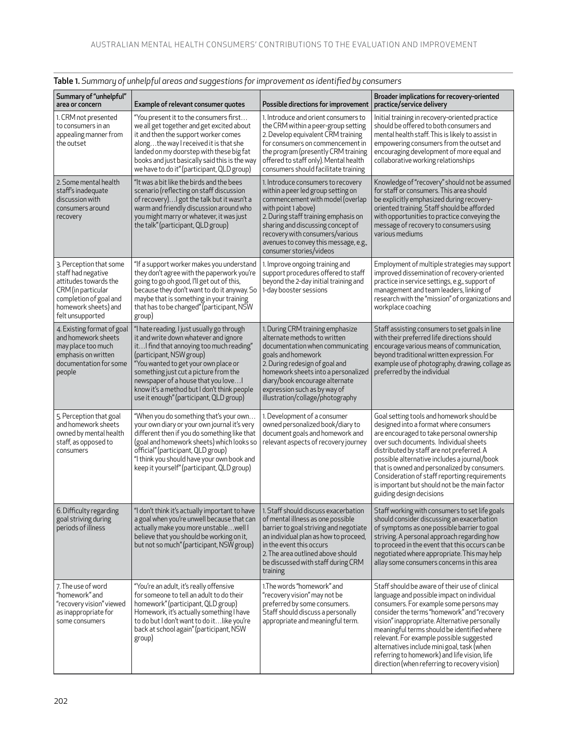| Summary of "unhelpful"<br>area or concern                                                                                                                          | Example of relevant consumer quotes                                                                                                                                                                                                                                                                                                                                           | Possible directions for improvement                                                                                                                                                                                                                                                                                     | Broader implications for recovery-oriented<br>practice/service delivery                                                                                                                                                                                                                                                                                                                                                                                                           |
|--------------------------------------------------------------------------------------------------------------------------------------------------------------------|-------------------------------------------------------------------------------------------------------------------------------------------------------------------------------------------------------------------------------------------------------------------------------------------------------------------------------------------------------------------------------|-------------------------------------------------------------------------------------------------------------------------------------------------------------------------------------------------------------------------------------------------------------------------------------------------------------------------|-----------------------------------------------------------------------------------------------------------------------------------------------------------------------------------------------------------------------------------------------------------------------------------------------------------------------------------------------------------------------------------------------------------------------------------------------------------------------------------|
| 1. CRM not presented<br>to consumers in an<br>appealing manner from<br>the outset                                                                                  | "You present it to the consumers first<br>we all get together and get excited about<br>it and then the support worker comes<br>alongthe way I received it is that she<br>landed on my doorstep with these big fat<br>books and just basically said this is the way<br>we have to do it" (participant, QLD group)                                                              | 1. Introduce and orient consumers to<br>the CRM within a peer-group setting<br>2. Develop equivalent CRM training<br>for consumers on commencement in<br>the program (presently CRM training<br>offered to staff only). Mental health<br>consumers should facilitate training                                           | Initial training in recovery-oriented practice<br>should be offered to both consumers and<br>mental health staff. This is likely to assist in<br>empowering consumers from the outset and<br>encouraging development of more equal and<br>collaborative working relationships                                                                                                                                                                                                     |
| 2. Some mental health<br>staff's inadequate<br>discussion with<br>consumers around<br>recovery                                                                     | "It was a bit like the birds and the bees<br>scenario (reflecting on staff discussion<br>of recovery) I got the talk but it wasn't a<br>warm and friendly discussion around who<br>you might marry or whatever, it was just<br>the talk" (participant, QLD group)                                                                                                             | 1. Introduce consumers to recovery<br>within a peer led group setting on<br>commencement with model (overlap<br>with point 1 above)<br>2. During staff training emphasis on<br>sharing and discussing concept of<br>recovery with consumers/various<br>avenues to convey this message, e.g.,<br>consumer stories/videos | Knowledge of "recovery" should not be assumed<br>for staff or consumers. This area should<br>be explicitly emphasized during recovery-<br>oriented training. Staff should be afforded<br>with opportunities to practice conveying the<br>message of recovery to consumers using<br>various mediums                                                                                                                                                                                |
| 3. Perception that some<br>staff had negative<br>attitudes towards the<br>CRM (in particular<br>completion of goal and<br>homework sheets) and<br>felt unsupported | "If a support worker makes you understand<br>they don't agree with the paperwork you're<br>going to go oh good, I'll get out of this,<br>because they don't want to do it anyway. So<br>maybe that is something in your training<br>that has to be changed" (participant, NSW<br>group)                                                                                       | 1. Improve ongoing training and<br>support procedures offered to staff<br>beyond the 2-day initial training and<br>1-day booster sessions                                                                                                                                                                               | Employment of multiple strategies may support<br>improved dissemination of recovery-oriented<br>practice in service settings, e.g., support of<br>management and team leaders, linking of<br>research with the "mission" of organizations and<br>workplace coaching                                                                                                                                                                                                               |
| 4. Existing format of goal<br>and homework sheets<br>may place too much<br>emphasis on written<br>documentation for some<br>people                                 | "I hate reading. I just usually go through<br>it and write down whatever and ignore<br>it I find that annoying too much reading"<br>(participant, NSW group)<br>"You wanted to get your own place or<br>something just cut a picture from the<br>newspaper of a house that you love<br>know it's a method but I don't think people<br>use it enough" (participant, QLD group) | 1. During CRM training emphasize<br>alternate methods to written<br>documentation when communicating<br>goals and homework<br>2. During redesign of goal and<br>homework sheets into a personalized<br>diary/book encourage alternate<br>expression such as by way of<br>illustration/collage/photography               | Staff assisting consumers to set goals in line<br>with their preferred life directions should<br>encourage various means of communication,<br>beyond traditional written expression. For<br>example use of photography, drawing, collage as<br>preferred by the individual                                                                                                                                                                                                        |
| 5. Perception that goal<br>and homework sheets<br>owned by mental health<br>staff, as opposed to<br>consumers                                                      | "When you do something that's your own<br>your own diary or your own journal it's very<br>different then if you do something like that<br>(goal and homework sheets) which looks so<br>official" (participant, QLD group)<br>"I think you should have your own book and<br>keep it yourself" (participant, QLD group)                                                         | 1. Development of a consumer<br>owned personalized book/diary to<br>document goals and homework and<br>relevant aspects of recovery journey                                                                                                                                                                             | Goal setting tools and homework should be<br>designed into a format where consumers<br>are encouraged to take personal ownership<br>over such documents. Individual sheets<br>distributed by staff are not preferred. A<br>possible alternative includes a journal/book<br>that is owned and personalized by consumers.<br>Consideration of staff reporting requirements<br>is important but should not be the main factor<br>guiding design decisions                            |
| 6. Difficulty regarding<br>goal striving during<br>periods of illness                                                                                              | "I don't think it's actually important to have<br>a goal when you're unwell because that can<br>actually make you more unstablewell I<br>believe that you should be working on it,<br>but not so much" (participant, NSW group)                                                                                                                                               | 1. Staff should discuss exacerbation<br>of mental illness as one possible<br>barrier to goal striving and negotiate<br>an individual plan as how to proceed,<br>in the event this occurs<br>2. The area outlined above should<br>be discussed with staff during CRM<br>training                                         | Staff working with consumers to set life goals<br>should consider discussing an exacerbation<br>of symptoms as one possible barrier to goal<br>striving. A personal approach regarding how<br>to proceed in the event that this occurs can be<br>negotiated where appropriate. This may help<br>allay some consumers concerns in this area                                                                                                                                        |
| 7. The use of word<br>"homework" and<br>"recovery vision" viewed<br>as inappropriate for<br>some consumers                                                         | "You're an adult, it's really offensive<br>for someone to tell an adult to do their<br>homework" (participant, QLD group)<br>Homework, it's actually something I have<br>to do but I don't want to do itlike you're<br>back at school again" (participant, NSW<br>group)                                                                                                      | 1. The words "homework" and<br>"recovery vision" may not be<br>preferred by some consumers.<br>Staff should discuss a personally<br>appropriate and meaningful term.                                                                                                                                                    | Staff should be aware of their use of clinical<br>language and possible impact on individual<br>consumers. For example some persons may<br>consider the terms "homework" and "recovery<br>vision" inappropriate. Alternative personally<br>meaningful terms should be identified where<br>relevant. For example possible suggested<br>alternatives include mini goal, task (when<br>referring to homework) and life vision, life<br>direction (when referring to recovery vision) |

#### Table 1. *Summary of unhelpful areas and suggestions for improvement as identified by consumers*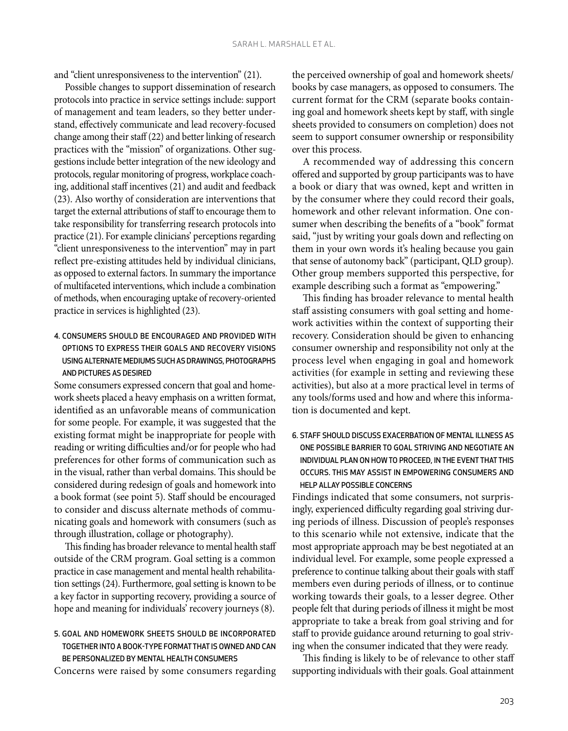and "client unresponsiveness to the intervention" (21).

Possible changes to support dissemination of research protocols into practice in service settings include: support of management and team leaders, so they better understand, effectively communicate and lead recovery-focused change among their staff (22) and better linking of research practices with the "mission" of organizations. Other suggestions include better integration of the new ideology and protocols, regular monitoring of progress, workplace coaching, additional staff incentives (21) and audit and feedback (23). Also worthy of consideration are interventions that target the external attributions of staff to encourage them to take responsibility for transferring research protocols into practice (21). For example clinicians' perceptions regarding "client unresponsiveness to the intervention" may in part reflect pre-existing attitudes held by individual clinicians, as opposed to external factors. In summary the importance of multifaceted interventions, which include a combination of methods, when encouraging uptake of recovery-oriented practice in services is highlighted (23).

#### 4. Consumers should be encouraged and provided with options to express their goals and recovery visions using alternate mediums such as drawings, photographs and pictures as desired

Some consumers expressed concern that goal and homework sheets placed a heavy emphasis on a written format, identified as an unfavorable means of communication for some people. For example, it was suggested that the existing format might be inappropriate for people with reading or writing difficulties and/or for people who had preferences for other forms of communication such as in the visual, rather than verbal domains. This should be considered during redesign of goals and homework into a book format (see point 5). Staff should be encouraged to consider and discuss alternate methods of communicating goals and homework with consumers (such as through illustration, collage or photography).

This finding has broader relevance to mental health staff outside of the CRM program. Goal setting is a common practice in case management and mental health rehabilitation settings (24). Furthermore, goal setting is known to be a key factor in supporting recovery, providing a source of hope and meaning for individuals' recovery journeys (8).

#### 5. Goal and homework sheets should be incorporated together into a book-type formatthat is owned and can be personalized by mental health consumers

Concerns were raised by some consumers regarding

the perceived ownership of goal and homework sheets/ books by case managers, as opposed to consumers. The current format for the CRM (separate books containing goal and homework sheets kept by staff, with single sheets provided to consumers on completion) does not seem to support consumer ownership or responsibility over this process.

A recommended way of addressing this concern offered and supported by group participants was to have a book or diary that was owned, kept and written in by the consumer where they could record their goals, homework and other relevant information. One consumer when describing the benefits of a "book" format said, "just by writing your goals down and reflecting on them in your own words it's healing because you gain that sense of autonomy back" (participant, QLD group). Other group members supported this perspective, for example describing such a format as "empowering."

This finding has broader relevance to mental health staff assisting consumers with goal setting and homework activities within the context of supporting their recovery. Consideration should be given to enhancing consumer ownership and responsibility not only at the process level when engaging in goal and homework activities (for example in setting and reviewing these activities), but also at a more practical level in terms of any tools/forms used and how and where this information is documented and kept.

#### 6. Staff should discuss exacerbation of mental illness as one possible barrier to goal striving and negotiate an individual plan on how to proceed, in the event that this occurs. This may assist in empowering consumers and help allay possible concerns

Findings indicated that some consumers, not surprisingly, experienced difficulty regarding goal striving during periods of illness. Discussion of people's responses to this scenario while not extensive, indicate that the most appropriate approach may be best negotiated at an individual level. For example, some people expressed a preference to continue talking about their goals with staff members even during periods of illness, or to continue working towards their goals, to a lesser degree. Other people felt that during periods of illness it might be most appropriate to take a break from goal striving and for staff to provide guidance around returning to goal striving when the consumer indicated that they were ready.

This finding is likely to be of relevance to other staff supporting individuals with their goals. Goal attainment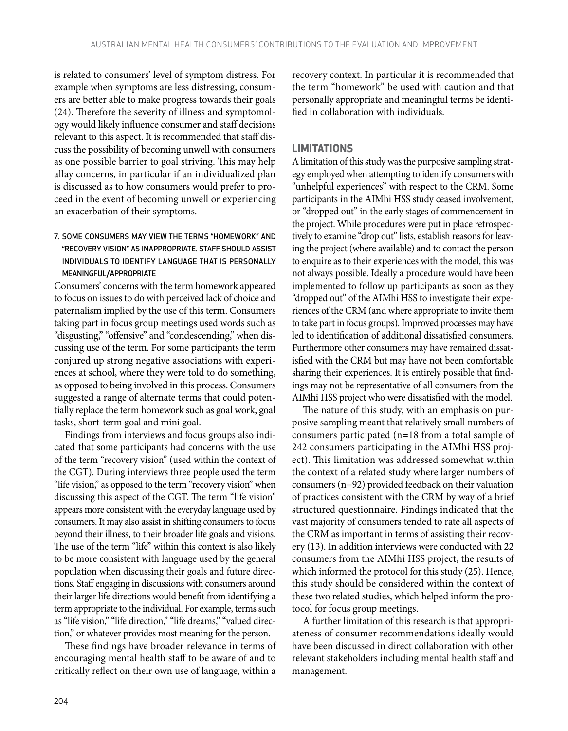is related to consumers' level of symptom distress. For example when symptoms are less distressing, consumers are better able to make progress towards their goals (24). Therefore the severity of illness and symptomology would likely influence consumer and staff decisions relevant to this aspect. It is recommended that staff discuss the possibility of becoming unwell with consumers as one possible barrier to goal striving. This may help allay concerns, in particular if an individualized plan is discussed as to how consumers would prefer to proceed in the event of becoming unwell or experiencing an exacerbation of their symptoms.

#### 7. Some consumers may view the terms "homework" and "recovery vision" as inappropriate. Staff should assist individuals to identify language that is personally meaningful/appropriate

Consumers' concerns with the term homework appeared to focus on issues to do with perceived lack of choice and paternalism implied by the use of this term. Consumers taking part in focus group meetings used words such as "disgusting," "offensive" and "condescending," when discussing use of the term. For some participants the term conjured up strong negative associations with experiences at school, where they were told to do something, as opposed to being involved in this process. Consumers suggested a range of alternate terms that could potentially replace the term homework such as goal work, goal tasks, short-term goal and mini goal.

Findings from interviews and focus groups also indicated that some participants had concerns with the use of the term "recovery vision" (used within the context of the CGT). During interviews three people used the term "life vision," as opposed to the term "recovery vision" when discussing this aspect of the CGT. The term "life vision" appears more consistent with the everyday language used by consumers. It may also assist in shifting consumers to focus beyond their illness, to their broader life goals and visions. The use of the term "life" within this context is also likely to be more consistent with language used by the general population when discussing their goals and future directions. Staff engaging in discussions with consumers around their larger life directions would benefit from identifying a term appropriate to the individual. For example, terms such as "life vision," "life direction," "life dreams," "valued direction," or whatever provides most meaning for the person.

These findings have broader relevance in terms of encouraging mental health staff to be aware of and to critically reflect on their own use of language, within a

recovery context. In particular it is recommended that the term "homework" be used with caution and that personally appropriate and meaningful terms be identified in collaboration with individuals.

#### **Limitations**

A limitation of this study was the purposive sampling strategy employed when attempting to identify consumers with "unhelpful experiences" with respect to the CRM. Some participants in the AIMhi HSS study ceased involvement, or "dropped out" in the early stages of commencement in the project. While procedures were put in place retrospectively to examine "drop out" lists, establish reasons for leaving the project (where available) and to contact the person to enquire as to their experiences with the model, this was not always possible. Ideally a procedure would have been implemented to follow up participants as soon as they "dropped out" of the AIMhi HSS to investigate their experiences of the CRM (and where appropriate to invite them to take part in focus groups). Improved processes may have led to identification of additional dissatisfied consumers. Furthermore other consumers may have remained dissatisfied with the CRM but may have not been comfortable sharing their experiences. It is entirely possible that findings may not be representative of all consumers from the AIMhi HSS project who were dissatisfied with the model.

The nature of this study, with an emphasis on purposive sampling meant that relatively small numbers of consumers participated (n=18 from a total sample of 242 consumers participating in the AIMhi HSS project). This limitation was addressed somewhat within the context of a related study where larger numbers of consumers (n=92) provided feedback on their valuation of practices consistent with the CRM by way of a brief structured questionnaire. Findings indicated that the vast majority of consumers tended to rate all aspects of the CRM as important in terms of assisting their recovery (13). In addition interviews were conducted with 22 consumers from the AIMhi HSS project, the results of which informed the protocol for this study (25). Hence, this study should be considered within the context of these two related studies, which helped inform the protocol for focus group meetings.

A further limitation of this research is that appropriateness of consumer recommendations ideally would have been discussed in direct collaboration with other relevant stakeholders including mental health staff and management.